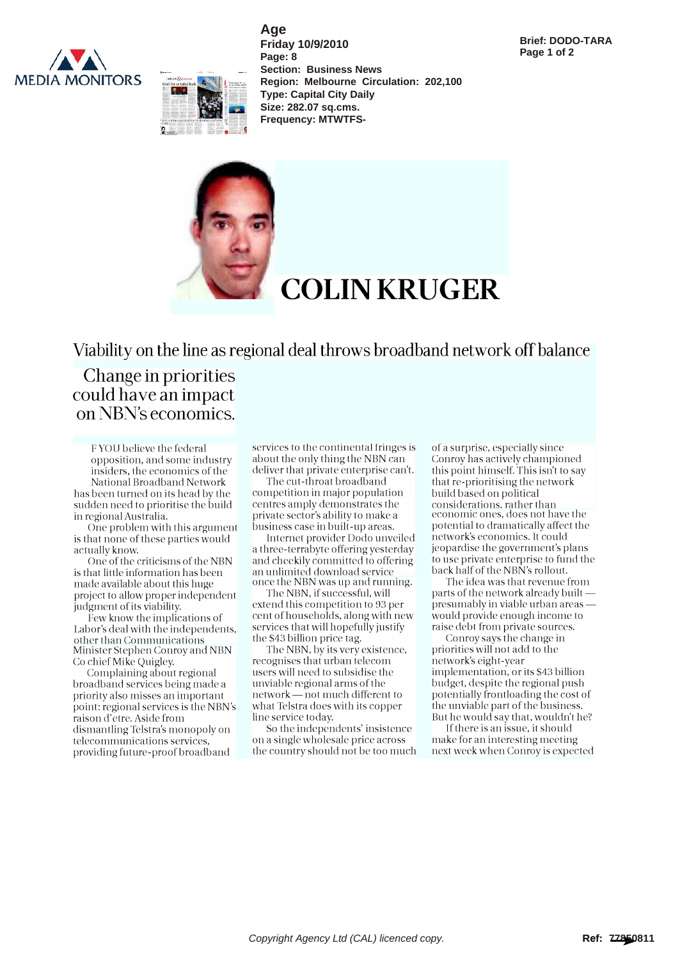



**Age Friday 10/9/2010 Page: 8 Section: Business News Region: Melbourne Circulation: 202,100 Type: Capital City Daily Size: 282.07 sq.cms. Frequency: MTWTFS-**



Viability on the line as regional deal throws broadband network off balance

## Change in priorities could have an impact on NBN's economics.

F YOU believe the federal opposition, and some industry insiders, the economics of the

National Broadband Network has been turned on its head by the sudden need to prioritise the build in regional Australia.

One problem with this argument is that none of these parties would actually know.

One of the criticisms of the NBN is that little information has been made available about this huge project to allow proper independent judgment of its viability.

Few know the implications of Labor's deal with the independents, other than Communications Minister Stephen Conroy and NBN Co chief Mike Quigley.

Complaining about regional broadband services being made a priority also misses an important point: regional services is the NBN's raison d'etre. Aside from dismantling Telstra's monopoly on telecommunications services, providing future-proof broadband

services to the continental fringes is about the only thing the NBN can deliver that private enterprise can't.

The cut-throat broadband competition in major population centres amply demonstrates the private sector's ability to make a business case in built-up areas.

Internet provider Dodo unveiled a three-terrabyte offering yesterday and cheekily committed to offering an unlimited download service once the NBN was up and running.

The NBN, if successful, will extend this competition to 93 per cent of households, along with new services that will hopefully justify the \$43 billion price tag.

The NBN, by its very existence, recognises that urban telecom users will need to subsidise the unviable regional arms of the network — not much different to what Telstra does with its copper line service today.

So the independents' insistence on a single wholesale price across the country should not be too much of a surprise, especially since Conroy has actively championed this point himself. This isn't to say that re-prioritising the network build based on political considerations, rather than economic ones, does not have the potential to dramatically affect the network's economics. It could jeopardise the government's plans to use private enterprise to fund the back half of the NBN's rollout.

The idea was that revenue from parts of the network already built presumably in viable urban areas would provide enough income to raise debt from private sources.

Conroy says the change in priorities will not add to the network's eight-year implementation, or its \$43 billion budget, despite the regional push potentially frontloading the cost of the unviable part of the business. But he would say that, wouldn't he?

If there is an issue, it should make for an interesting meeting next week when Conroy is expected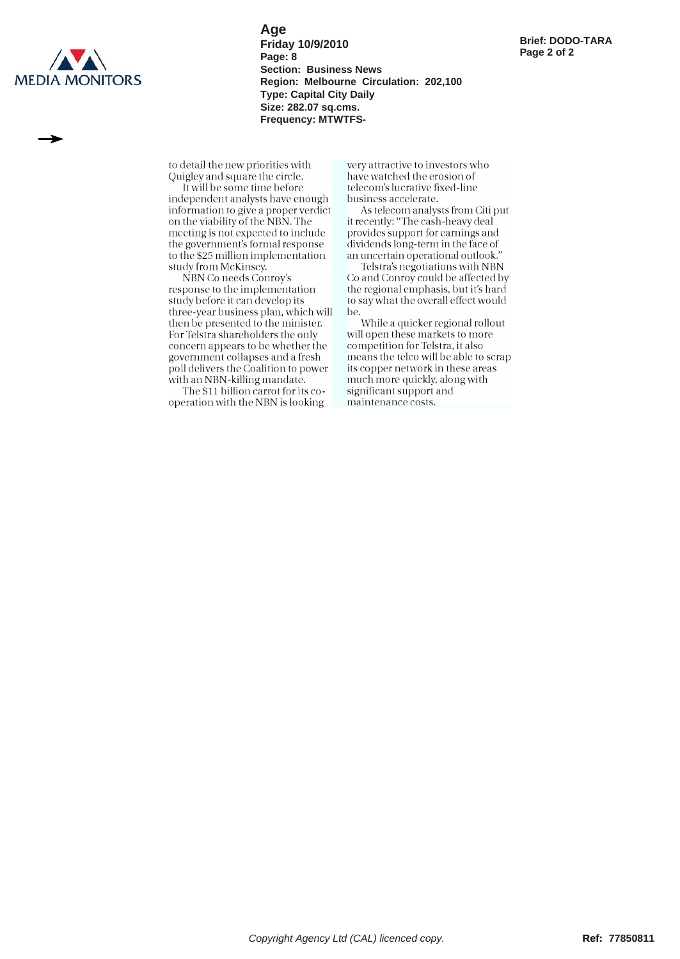

**Age Friday 10/9/2010 Page: 8 Section: Business News Region: Melbourne Circulation: 202,100 Type: Capital City Daily Size: 282.07 sq.cms. Frequency: MTWTFS-**

to detail the new priorities with Quigley and square the circle.

It will be some time before independent analysts have enough information to give a proper verdict on the viability of the NBN. The meeting is not expected to include the government's formal response to the \$25 million implementation study from McKinsey.

NBN Co needs Conroy's response to the implementation study before it can develop its three-year business plan, which will then be presented to the minister. For Telstra shareholders the only concern appears to be whether the government collapses and a fresh poll delivers the Coalition to power with an NBN-killing mandate.

The \$11 billion carrot for its cooperation with the NBN is looking

very attractive to investors who have watched the erosion of telecom's lucrative fixed-line business accelerate.

As telecom analysts from Citi put it recently: "The cash-heavy deal provides support for earnings and dividends long-term in the face of an uncertain operational outlook."

Telstra's negotiations with NBN Co and Conroy could be affected by the regional emphasis, but it's hard to say what the overall effect would be.

While a quicker regional rollout will open these markets to more competition for Telstra, it also means the telco will be able to scrap its copper network in these areas much more quickly, along with significant support and maintenance costs.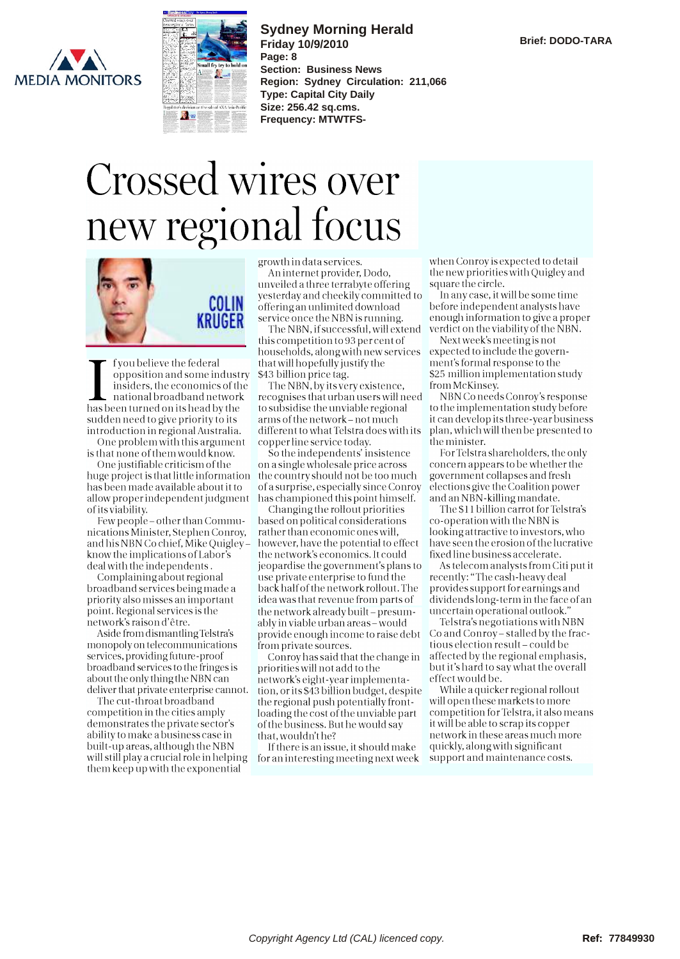



**Sydney Morning Herald Friday 10/9/2010 Page: 8 Section: Business News Region: Sydney Circulation: 211,066 Type: Capital City Daily Size: 256.42 sq.cms. Frequency: MTWTFS-**

## Crossed wires over new regional focus



opposition and some midistry 343 bind<br>insiders, the economics of the The N<br>national broadband network recognise f you believe the federal opposition and some industry insiders, the economics of the has been turned on its head by the sudden need to give priority to its introduction in regional Australia.

One problem with this argument is that none of them would know.

One justifiable criticism of the huge project is that little information has been made available about it to allow proper independent judgment of its viability.

Few people - other than Communications Minister, Stephen Conroy, and his NBN Co chief, Mike Quigley know the implications of Labor's deal with the independents.

Complaining about regional broadband services being made a priority also misses an important point. Regional services is the network's raison d'être.

Aside from dismantling Telstra's monopoly on telecommunications services, providing future-proof broadband services to the fringes is about the only thing the NBN can deliver that private enterprise cannot.

The cut-throat broadband competition in the cities amply demonstrates the private sector's ability to make a business case in built-up areas, although the NBN will still play a crucial role in helping them keep up with the exponential

growth in data services.

An internet provider, Dodo, unveiled a three terrabyte offering yesterday and cheekily committed to offering an unlimited download service once the NBN is running.

**RRUULA** The NBN, if successful, will extend verdict of this competition to 93 per cent of households, alongwith new services that will hopefullyjustify the \$43 billion price tag.

The NBN, by its very existence, recognises that urban users will need to subsidise the unviable regional arms of the network- not much different to what Telstra does with its copper line service today.

So the independents' insistence on a single wholesale price across the country should not be too much of a surprise, especially since Conroy has championed this point himself.

Changing the rollout priorities based on political considerations rather than economic ones will, however, have the potential to effect the network's economics. It could jeopardise the government's plans to use private enterprise to fund the back half of the network rollout. The idea was that revenue from parts of the network already built - presumably inviable urban areas-would provide enough income to raise debt from private sources.

Conroy has said that the change in priorities will not add to the network's eight-year implementation, or its \$43 billion budget, despite the regional push potentially frontloading the cost of the unviable part of the business. But he would say that, wouldn't he?

If there is an issue, it should make for an interesting meeting next week

when Conroy is expected to detail the new priorities with Quigley and square the circle.

In any case, it will be some time before independent analysts have enough information to give a proper verdict on the viability of the NBN.

Next week's meeting is not expected to include the government's formal response to the \$25 million implementation study from McKinsey.

NBN Co needs Conroy's response to the implementation study before it can develop its three-year business plan, which will then be presented to the minister.

For Telstra shareholders, the only concern appears to be whether the government collapses and fresh elections give the Coalition power and an NBN-killing mandate.

The \$11 billion carrot for Telstra's co-operation with the NBN is looking attractive to investors, who have seen the erosion of the lucrative fixed line business accelerate.

As telecom analysts from Citi put it recently: "The cash-heavy deal provides support for earnings and dividends long-term in the face of an uncertain operational outlook."

Telstra's negotiations with NBN Co and Conroy- stalled by the fractious election result- could be affected by the regional emphasis, but it's hard to say what the overall effect would be.

While a quicker regional rollout will open these markets to more competition for Telstra, it also means it will be able to scrap its copper network in these areas much more quickly, along with significant support and maintenance costs.